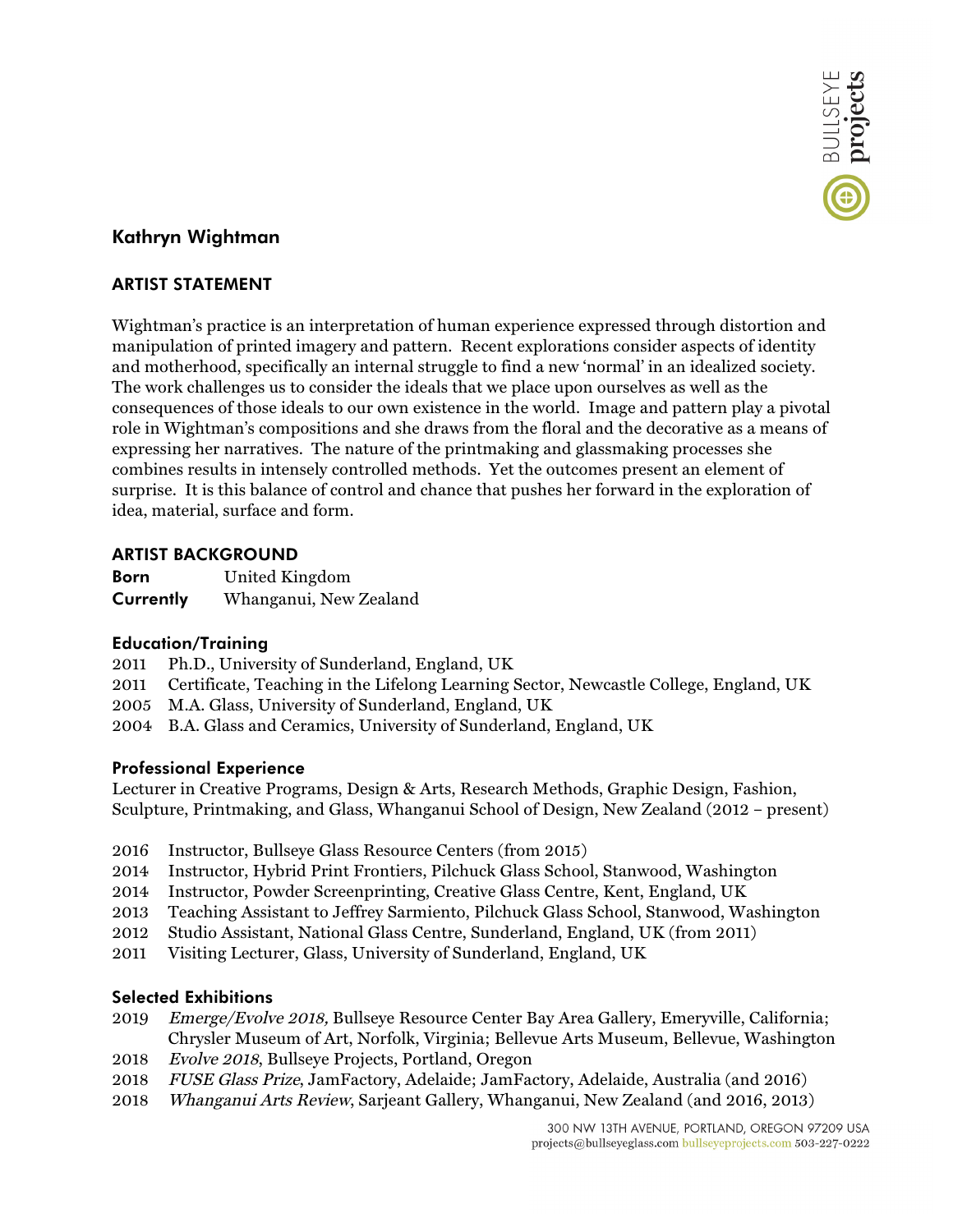

# **Kathryn Wightman**

## **ARTIST STATEMENT**

Wightman's practice is an interpretation of human experience expressed through distortion and manipulation of printed imagery and pattern. Recent explorations consider aspects of identity and motherhood, specifically an internal struggle to find a new 'normal' in an idealized society. The work challenges us to consider the ideals that we place upon ourselves as well as the consequences of those ideals to our own existence in the world. Image and pattern play a pivotal role in Wightman's compositions and she draws from the floral and the decorative as a means of expressing her narratives. The nature of the printmaking and glassmaking processes she combines results in intensely controlled methods. Yet the outcomes present an element of surprise. It is this balance of control and chance that pushes her forward in the exploration of idea, material, surface and form.

### **ARTIST BACKGROUND**

| <b>Born</b> | United Kingdom         |
|-------------|------------------------|
| Currently   | Whanganui, New Zealand |

### **Education/Training**

- 2011 Ph.D., University of Sunderland, England, UK
- 2011 Certificate, Teaching in the Lifelong Learning Sector, Newcastle College, England, UK
- 2005 M.A. Glass, University of Sunderland, England, UK
- 2004 B.A. Glass and Ceramics, University of Sunderland, England, UK

### **Professional Experience**

Lecturer in Creative Programs, Design & Arts, Research Methods, Graphic Design, Fashion, Sculpture, Printmaking, and Glass, Whanganui School of Design, New Zealand (2012 – present)

- 2016 Instructor, Bullseye Glass Resource Centers (from 2015)
- 2014 Instructor, Hybrid Print Frontiers, Pilchuck Glass School, Stanwood, Washington
- 2014 Instructor, Powder Screenprinting, Creative Glass Centre, Kent, England, UK
- 2013 Teaching Assistant to Jeffrey Sarmiento, Pilchuck Glass School, Stanwood, Washington
- 2012 Studio Assistant, National Glass Centre, Sunderland, England, UK (from 2011)
- 2011 Visiting Lecturer, Glass, University of Sunderland, England, UK

## **Selected Exhibitions**

- 2019 Emerge/Evolve 2018, Bullseye Resource Center Bay Area Gallery, Emeryville, California; Chrysler Museum of Art, Norfolk, Virginia; Bellevue Arts Museum, Bellevue, Washington
- 2018 Evolve 2018, Bullseye Projects, Portland, Oregon
- 2018 FUSE Glass Prize, JamFactory, Adelaide; JamFactory, Adelaide, Australia (and 2016)
- 2018 Whanganui Arts Review, Sarjeant Gallery, Whanganui, New Zealand (and 2016, 2013)